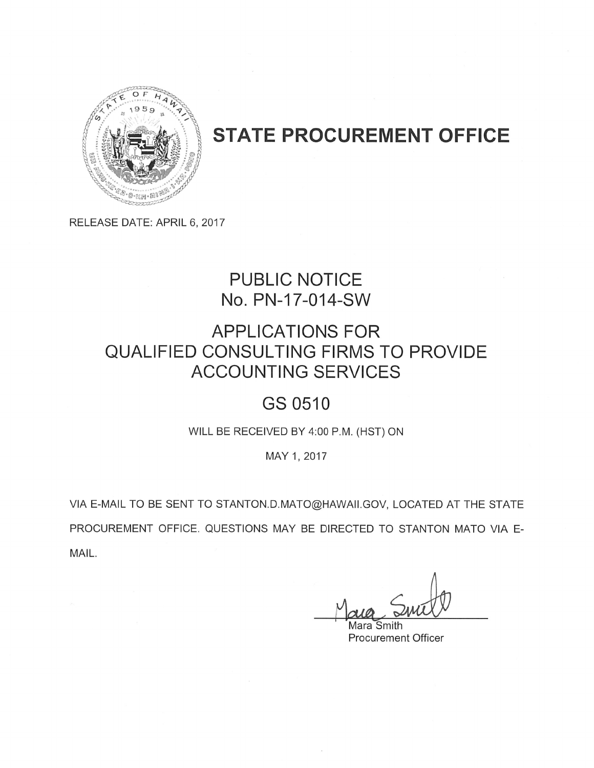

# STATE PROCUREMENT OFFICE

RELEASE DATE: APRIL 6, 2017

# PUBLIC NOTICE No. PN-17-014-SW

# APPLICATIONS FOR QUALIFIED CONSULTING FIRMS TO PROVIDE ACCOUNTING SERVICES

# GS 0510

WILL BE RECEIVED BY 4:00 P.M. (HST) ON

MAY 1, 2017

VIA E-MAIL TO BE SENT TO STANTON.D.MATO@HAWAII.GOV, LOCATED AT THE STATE PROCUREMENT OFFICE. QUESTIONS MAY BE DIRECTED TO STANTON MATO VIA E MAIL.

lara Smith Procurement Officer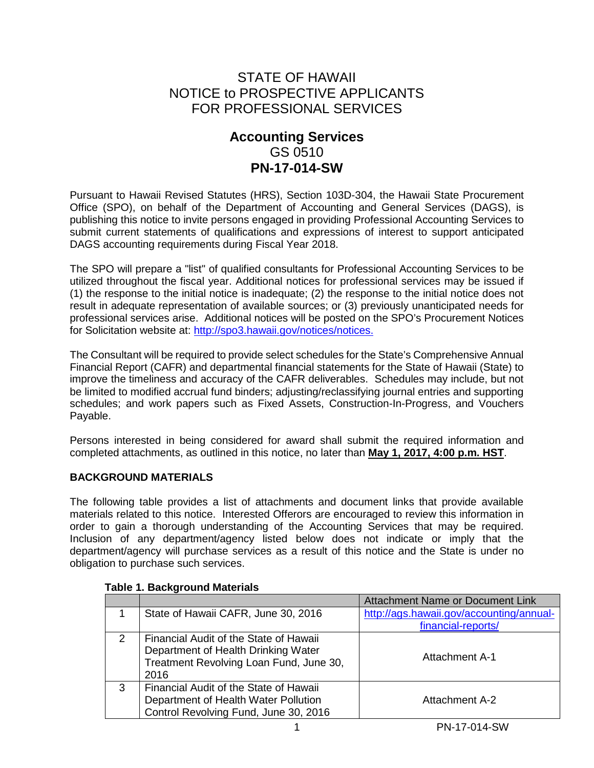# STATE OF HAWAII NOTICE to PROSPECTIVE APPLICANTS FOR PROFESSIONAL SERVICES

# **Accounting Services** GS 0510 **PN-17-014-SW**

Pursuant to Hawaii Revised Statutes (HRS), Section 103D-304, the Hawaii State Procurement Office (SPO), on behalf of the Department of Accounting and General Services (DAGS), is publishing this notice to invite persons engaged in providing Professional Accounting Services to submit current statements of qualifications and expressions of interest to support anticipated DAGS accounting requirements during Fiscal Year 2018.

The SPO will prepare a "list" of qualified consultants for Professional Accounting Services to be utilized throughout the fiscal year. Additional notices for professional services may be issued if (1) the response to the initial notice is inadequate; (2) the response to the initial notice does not result in adequate representation of available sources; or (3) previously unanticipated needs for professional services arise. Additional notices will be posted on the SPO's Procurement Notices for Solicitation website at: <http://spo3.hawaii.gov/notices/notices.>

The Consultant will be required to provide select schedules for the State's Comprehensive Annual Financial Report (CAFR) and departmental financial statements for the State of Hawaii (State) to improve the timeliness and accuracy of the CAFR deliverables. Schedules may include, but not be limited to modified accrual fund binders; adjusting/reclassifying journal entries and supporting schedules; and work papers such as Fixed Assets, Construction-In-Progress, and Vouchers Payable.

Persons interested in being considered for award shall submit the required information and completed attachments, as outlined in this notice, no later than **May 1, 2017, 4:00 p.m. HST**.

### **BACKGROUND MATERIALS**

The following table provides a list of attachments and document links that provide available materials related to this notice. Interested Offerors are encouraged to review this information in order to gain a thorough understanding of the Accounting Services that may be required. Inclusion of any department/agency listed below does not indicate or imply that the department/agency will purchase services as a result of this notice and the State is under no obligation to purchase such services.

|   |                                                                                                                                  | <b>Attachment Name or Document Link</b>  |
|---|----------------------------------------------------------------------------------------------------------------------------------|------------------------------------------|
|   | State of Hawaii CAFR, June 30, 2016                                                                                              | http://ags.hawaii.gov/accounting/annual- |
|   |                                                                                                                                  | financial-reports/                       |
| 2 | Financial Audit of the State of Hawaii<br>Department of Health Drinking Water<br>Treatment Revolving Loan Fund, June 30,<br>2016 | Attachment A-1                           |
| 3 | Financial Audit of the State of Hawaii<br>Department of Health Water Pollution<br>Control Revolving Fund, June 30, 2016          | Attachment A-2                           |

#### **Table 1. Background Materials**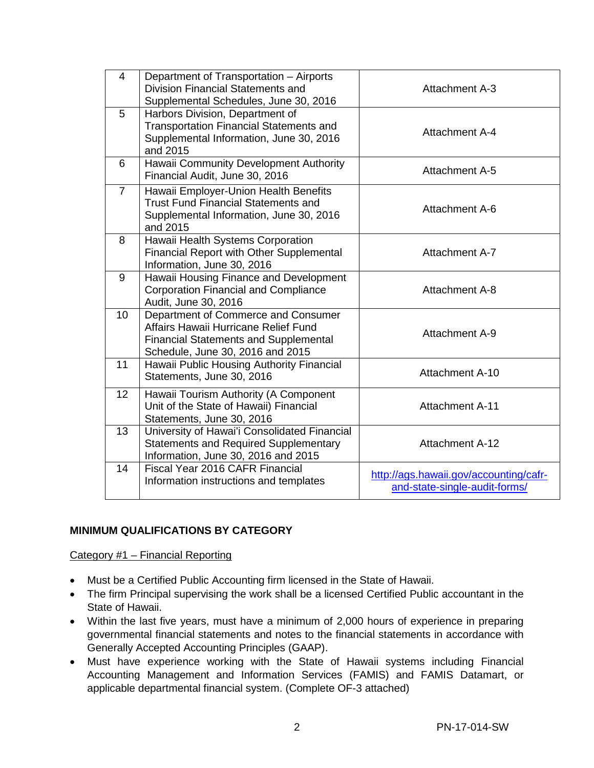| $\overline{4}$ | Department of Transportation - Airports<br><b>Division Financial Statements and</b><br>Supplemental Schedules, June 30, 2016                                    | <b>Attachment A-3</b>                                                   |
|----------------|-----------------------------------------------------------------------------------------------------------------------------------------------------------------|-------------------------------------------------------------------------|
| 5              | Harbors Division, Department of<br><b>Transportation Financial Statements and</b><br>Supplemental Information, June 30, 2016<br>and 2015                        | <b>Attachment A-4</b>                                                   |
| 6              | Hawaii Community Development Authority<br>Financial Audit, June 30, 2016                                                                                        | <b>Attachment A-5</b>                                                   |
| $\overline{7}$ | Hawaii Employer-Union Health Benefits<br><b>Trust Fund Financial Statements and</b><br>Supplemental Information, June 30, 2016<br>and 2015                      | Attachment A-6                                                          |
| 8              | Hawaii Health Systems Corporation<br><b>Financial Report with Other Supplemental</b><br>Information, June 30, 2016                                              | Attachment A-7                                                          |
| 9              | Hawaii Housing Finance and Development<br><b>Corporation Financial and Compliance</b><br>Audit, June 30, 2016                                                   | <b>Attachment A-8</b>                                                   |
| 10             | Department of Commerce and Consumer<br>Affairs Hawaii Hurricane Relief Fund<br><b>Financial Statements and Supplemental</b><br>Schedule, June 30, 2016 and 2015 | Attachment A-9                                                          |
| 11             | Hawaii Public Housing Authority Financial<br>Statements, June 30, 2016                                                                                          | Attachment A-10                                                         |
| 12             | Hawaii Tourism Authority (A Component<br>Unit of the State of Hawaii) Financial<br>Statements, June 30, 2016                                                    | <b>Attachment A-11</b>                                                  |
| 13             | University of Hawai'i Consolidated Financial<br><b>Statements and Required Supplementary</b><br>Information, June 30, 2016 and 2015                             | <b>Attachment A-12</b>                                                  |
| 14             | Fiscal Year 2016 CAFR Financial<br>Information instructions and templates                                                                                       | http://ags.hawaii.gov/accounting/cafr-<br>and-state-single-audit-forms/ |

# **MINIMUM QUALIFICATIONS BY CATEGORY**

### Category #1 – Financial Reporting

- Must be a Certified Public Accounting firm licensed in the State of Hawaii.
- The firm Principal supervising the work shall be a licensed Certified Public accountant in the State of Hawaii.
- Within the last five years, must have a minimum of 2,000 hours of experience in preparing governmental financial statements and notes to the financial statements in accordance with Generally Accepted Accounting Principles (GAAP).
- Must have experience working with the State of Hawaii systems including Financial Accounting Management and Information Services (FAMIS) and FAMIS Datamart, or applicable departmental financial system. (Complete OF-3 attached)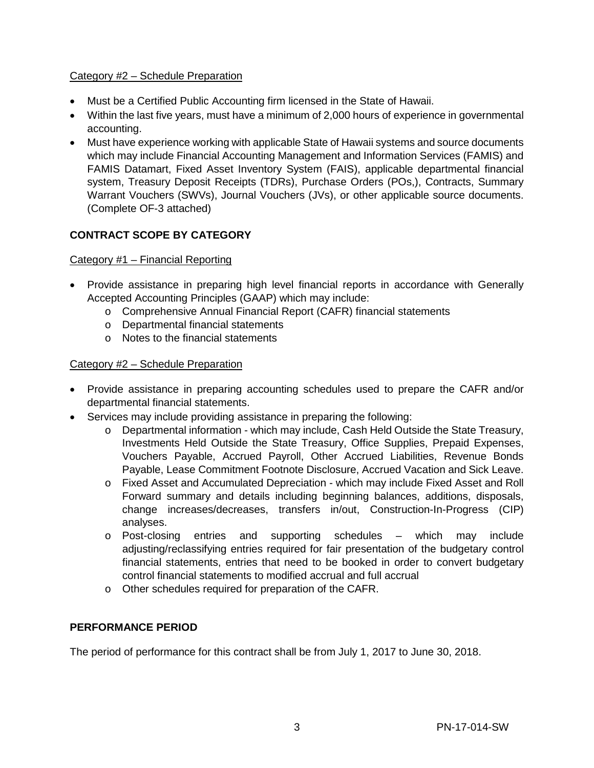# Category #2 – Schedule Preparation

- Must be a Certified Public Accounting firm licensed in the State of Hawaii.
- Within the last five years, must have a minimum of 2,000 hours of experience in governmental accounting.
- Must have experience working with applicable State of Hawaii systems and source documents which may include Financial Accounting Management and Information Services (FAMIS) and FAMIS Datamart, Fixed Asset Inventory System (FAIS), applicable departmental financial system, Treasury Deposit Receipts (TDRs), Purchase Orders (POs,), Contracts, Summary Warrant Vouchers (SWVs), Journal Vouchers (JVs), or other applicable source documents. (Complete OF-3 attached)

# **CONTRACT SCOPE BY CATEGORY**

# Category #1 – Financial Reporting

- Provide assistance in preparing high level financial reports in accordance with Generally Accepted Accounting Principles (GAAP) which may include:
	- o Comprehensive Annual Financial Report (CAFR) financial statements
	- o Departmental financial statements
	- o Notes to the financial statements

# Category #2 – Schedule Preparation

- Provide assistance in preparing accounting schedules used to prepare the CAFR and/or departmental financial statements.
- Services may include providing assistance in preparing the following:
	- o Departmental information which may include, Cash Held Outside the State Treasury, Investments Held Outside the State Treasury, Office Supplies, Prepaid Expenses, Vouchers Payable, Accrued Payroll, Other Accrued Liabilities, Revenue Bonds Payable, Lease Commitment Footnote Disclosure, Accrued Vacation and Sick Leave.
	- o Fixed Asset and Accumulated Depreciation which may include Fixed Asset and Roll Forward summary and details including beginning balances, additions, disposals, change increases/decreases, transfers in/out, Construction-In-Progress (CIP) analyses.
	- o Post-closing entries and supporting schedules which may include adjusting/reclassifying entries required for fair presentation of the budgetary control financial statements, entries that need to be booked in order to convert budgetary control financial statements to modified accrual and full accrual
	- o Other schedules required for preparation of the CAFR.

# **PERFORMANCE PERIOD**

The period of performance for this contract shall be from July 1, 2017 to June 30, 2018.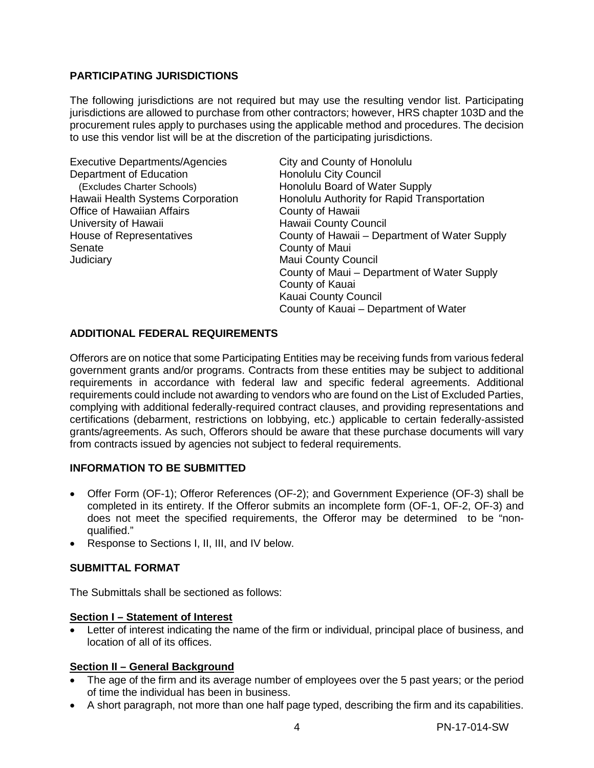# **PARTICIPATING JURISDICTIONS**

The following jurisdictions are not required but may use the resulting vendor list. Participating jurisdictions are allowed to purchase from other contractors; however, HRS chapter 103D and the procurement rules apply to purchases using the applicable method and procedures. The decision to use this vendor list will be at the discretion of the participating jurisdictions.

Executive Departments/Agencies<br>
Department of Education<br>
Honolulu City Council Department of Education<br>(Excludes Charter Schools) (Excludes Charter Schools) Honolulu Board of Water Supply<br>Hawaii Health Systems Corporation Honolulu Authority for Rapid Tran Office of Hawaiian Affairs **County of Hawaii** University of Hawaii **Hawaii** Hawaii County Council Senate County of Maui **Judiciary Maui County Council** 

Honolulu Authority for Rapid Transportation House of Representatives County of Hawaii – Department of Water Supply County of Maui – Department of Water Supply County of Kauai Kauai County Council County of Kauai – Department of Water

# **ADDITIONAL FEDERAL REQUIREMENTS**

Offerors are on notice that some Participating Entities may be receiving funds from various federal government grants and/or programs. Contracts from these entities may be subject to additional requirements in accordance with federal law and specific federal agreements. Additional requirements could include not awarding to vendors who are found on the List of Excluded Parties, complying with additional federally-required contract clauses, and providing representations and certifications (debarment, restrictions on lobbying, etc.) applicable to certain federally-assisted grants/agreements. As such, Offerors should be aware that these purchase documents will vary from contracts issued by agencies not subject to federal requirements.

### **INFORMATION TO BE SUBMITTED**

- Offer Form (OF-1); Offeror References (OF-2); and Government Experience (OF-3) shall be completed in its entirety. If the Offeror submits an incomplete form (OF-1, OF-2, OF-3) and does not meet the specified requirements, the Offeror may be determined to be "nonqualified."
- Response to Sections I, II, III, and IV below.

### **SUBMITTAL FORMAT**

The Submittals shall be sectioned as follows:

#### **Section I – Statement of Interest**

Letter of interest indicating the name of the firm or individual, principal place of business, and location of all of its offices.

### **Section II – General Background**

- The age of the firm and its average number of employees over the 5 past years; or the period of time the individual has been in business.
- A short paragraph, not more than one half page typed, describing the firm and its capabilities.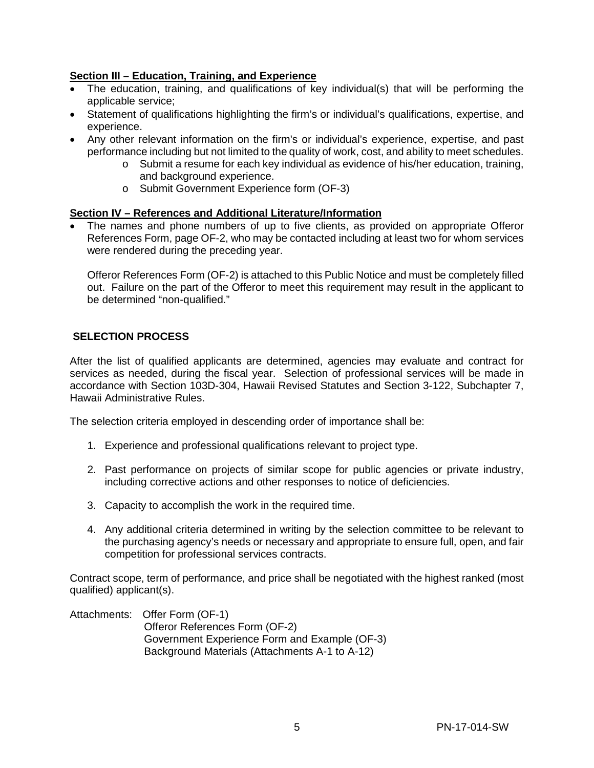# **Section III – Education, Training, and Experience**

- The education, training, and qualifications of key individual(s) that will be performing the applicable service;
- Statement of qualifications highlighting the firm's or individual's qualifications, expertise, and experience.
- Any other relevant information on the firm's or individual's experience, expertise, and past performance including but not limited to the quality of work, cost, and ability to meet schedules.
	- $\circ$  Submit a resume for each key individual as evidence of his/her education, training, and background experience.
	- o Submit Government Experience form (OF-3)

#### **Section IV – References and Additional Literature/Information**

The names and phone numbers of up to five clients, as provided on appropriate Offeror References Form, page OF-2, who may be contacted including at least two for whom services were rendered during the preceding year.

Offeror References Form (OF-2) is attached to this Public Notice and must be completely filled out. Failure on the part of the Offeror to meet this requirement may result in the applicant to be determined "non-qualified."

### **SELECTION PROCESS**

After the list of qualified applicants are determined, agencies may evaluate and contract for services as needed, during the fiscal year. Selection of professional services will be made in accordance with Section 103D-304, Hawaii Revised Statutes and Section 3-122, Subchapter 7, Hawaii Administrative Rules.

The selection criteria employed in descending order of importance shall be:

- 1. Experience and professional qualifications relevant to project type.
- 2. Past performance on projects of similar scope for public agencies or private industry, including corrective actions and other responses to notice of deficiencies.
- 3. Capacity to accomplish the work in the required time.
- 4. Any additional criteria determined in writing by the selection committee to be relevant to the purchasing agency's needs or necessary and appropriate to ensure full, open, and fair competition for professional services contracts.

Contract scope, term of performance, and price shall be negotiated with the highest ranked (most qualified) applicant(s).

Attachments: Offer Form (OF-1) Offeror References Form (OF-2) Government Experience Form and Example (OF-3) Background Materials (Attachments A-1 to A-12)